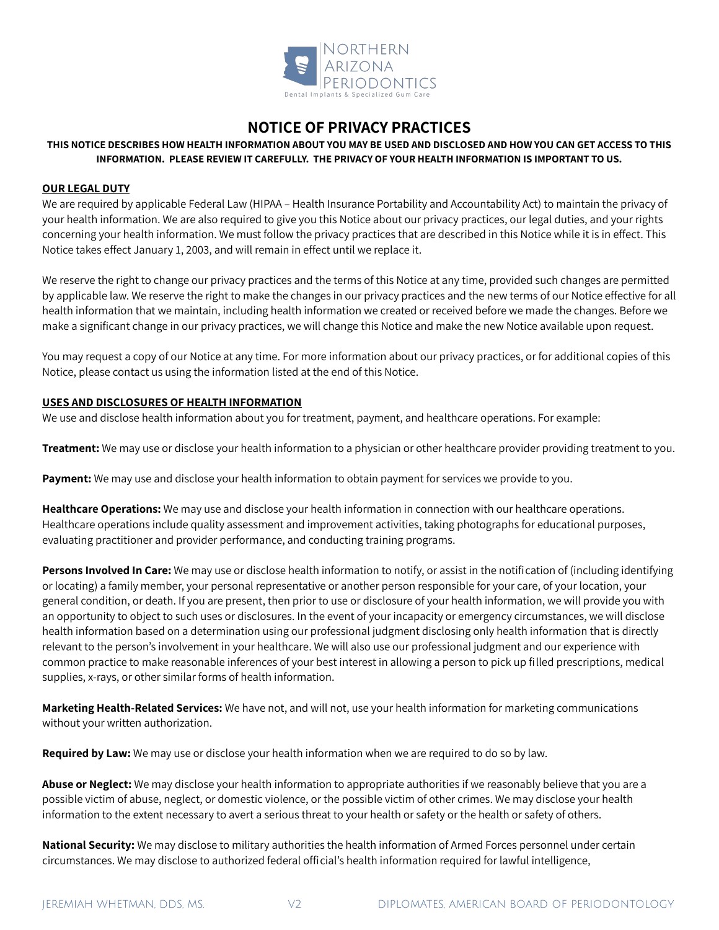

# **NOTICE OF PRIVACY PRACTICES**

# **THIS NOTICE DESCRIBES HOW HEALTH INFORMATION ABOUT YOU MAY BE USED AND DISCLOSED AND HOW YOU CAN GET ACCESS TO THIS INFORMATION. PLEASE REVIEW IT CAREFULLY. THE PRIVACY OF YOUR HEALTH INFORMATION IS IMPORTANT TO US.**

#### **OUR LEGAL DUTY**

We are required by applicable Federal Law (HIPAA – Health Insurance Portability and Accountability Act) to maintain the privacy of your health information. We are also required to give you this Notice about our privacy practices, our legal duties, and your rights concerning your health information. We must follow the privacy practices that are described in this Notice while it is in effect. This Notice takes effect January 1, 2003, and will remain in effect until we replace it.

We reserve the right to change our privacy practices and the terms of this Notice at any time, provided such changes are permitted by applicable law. We reserve the right to make the changes in our privacy practices and the new terms of our Notice effective for all health information that we maintain, including health information we created or received before we made the changes. Before we make a significant change in our privacy practices, we will change this Notice and make the new Notice available upon request.

You may request a copy of our Notice at any time. For more information about our privacy practices, or for additional copies of this Notice, please contact us using the information listed at the end of this Notice.

### **USES AND DISCLOSURES OF HEALTH INFORMATION**

We use and disclose health information about you for treatment, payment, and healthcare operations. For example:

**Treatment:** We may use or disclose your health information to a physician or other healthcare provider providing treatment to you.

**Payment:** We may use and disclose your health information to obtain payment for services we provide to you.

**Healthcare Operations:** We may use and disclose your health information in connection with our healthcare operations. Healthcare operations include quality assessment and improvement activities, taking photographs for educational purposes, evaluating practitioner and provider performance, and conducting training programs.

**Persons Involved In Care:** We may use or disclose health information to notify, or assist in the notification of (including identifying or locating) a family member, your personal representative or another person responsible for your care, of your location, your general condition, or death. If you are present, then prior to use or disclosure of your health information, we will provide you with an opportunity to object to such uses or disclosures. In the event of your incapacity or emergency circumstances, we will disclose health information based on a determination using our professional judgment disclosing only health information that is directly relevant to the person's involvement in your healthcare. We will also use our professional judgment and our experience with common practice to make reasonable inferences of your best interest in allowing a person to pick up filled prescriptions, medical supplies, x-rays, or other similar forms of health information.

**Marketing Health-Related Services:** We have not, and will not, use your health information for marketing communications without your written authorization.

**Required by Law:** We may use or disclose your health information when we are required to do so by law.

**Abuse or Neglect:** We may disclose your health information to appropriate authorities if we reasonably believe that you are a possible victim of abuse, neglect, or domestic violence, or the possible victim of other crimes. We may disclose your health information to the extent necessary to avert a serious threat to your health or safety or the health or safety of others.

**National Security:** We may disclose to military authorities the health information of Armed Forces personnel under certain circumstances. We may disclose to authorized federal official's health information required for lawful intelligence,